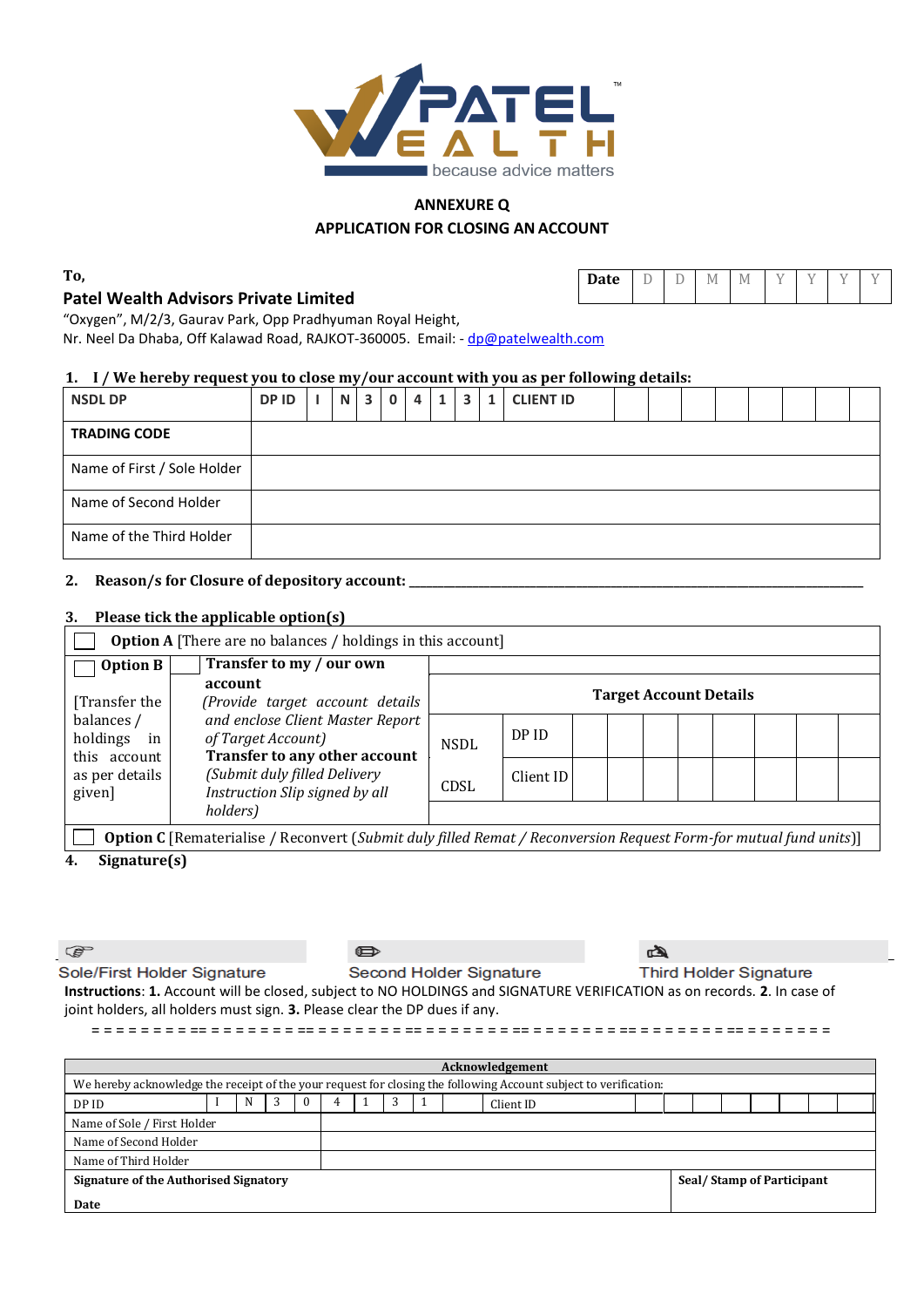

### **ANNEXURE Q APPLICATION FOR CLOSING AN ACCOUNT**

**To,**

# **Patel Wealth Advisors Private Limited**

| ۰<br>`ate | - | - |
|-----------|---|---|
|-----------|---|---|

"Oxygen", M/2/3, Gaurav Park, Opp Pradhyuman Royal Height,

Nr. Neel Da Dhaba, Off Kalawad Road, RAJKOT-360005. Email: - [dp@patelwealth.com](mailto:dp@patelwealth.com)

### **1. I / We hereby request you to close my/our account with you as per following details:**

| <b>NSDL DP</b>              | DP ID | N | $\overline{\mathbf{3}}$ | $\mathbf{0}$ | $\overline{a}$ | 1 <sup>1</sup> | $\overline{\mathbf{3}}$ | $\mathbf{1}$ | <b>CLIENT ID</b> |  |  |  |  |
|-----------------------------|-------|---|-------------------------|--------------|----------------|----------------|-------------------------|--------------|------------------|--|--|--|--|
| <b>TRADING CODE</b>         |       |   |                         |              |                |                |                         |              |                  |  |  |  |  |
| Name of First / Sole Holder |       |   |                         |              |                |                |                         |              |                  |  |  |  |  |
| Name of Second Holder       |       |   |                         |              |                |                |                         |              |                  |  |  |  |  |
| Name of the Third Holder    |       |   |                         |              |                |                |                         |              |                  |  |  |  |  |

## **2. Reason/s for Closure of depository account: \_\_\_\_\_\_\_\_\_\_\_\_\_\_\_\_\_\_\_\_\_\_\_\_\_\_\_\_\_\_\_\_\_\_\_\_\_\_\_\_\_\_\_\_\_\_\_\_\_\_\_\_\_\_\_\_\_\_\_\_\_\_\_\_\_\_\_\_\_\_\_\_\_\_\_\_\_\_\_**

#### **3. Please tick the applicable option(s)**

| <b>Option A</b> [There are no balances / holdings in this account] |                                                                                                                          |                               |           |  |  |  |  |  |  |  |  |  |  |  |
|--------------------------------------------------------------------|--------------------------------------------------------------------------------------------------------------------------|-------------------------------|-----------|--|--|--|--|--|--|--|--|--|--|--|
| <b>Option B</b>                                                    | Transfer to my / our own                                                                                                 |                               |           |  |  |  |  |  |  |  |  |  |  |  |
| [Transfer the]                                                     | account<br>(Provide target account details                                                                               | <b>Target Account Details</b> |           |  |  |  |  |  |  |  |  |  |  |  |
| balances /<br>holdings<br>in                                       | and enclose Client Master Report<br>of Target Account)                                                                   | <b>NSDL</b>                   | DP ID     |  |  |  |  |  |  |  |  |  |  |  |
| this account<br>as per details<br>given]                           | Transfer to any other account<br>(Submit duly filled Delivery<br>Instruction Slip signed by all                          | CDSL                          | Client ID |  |  |  |  |  |  |  |  |  |  |  |
|                                                                    | holders)                                                                                                                 |                               |           |  |  |  |  |  |  |  |  |  |  |  |
|                                                                    | <b>Option C</b> [Rematerialise / Reconvert (Submit duly filled Remat / Reconversion Request Form-for mutual fund units)] |                               |           |  |  |  |  |  |  |  |  |  |  |  |

**4. Signature(s)**

 $\mathbb{G}$ 

 $\bullet$ 

ها

Sole/First Holder Signature Second Holder Signature **Third Holder Signature Instructions**: **1.** Account will be closed, subject to NO HOLDINGS and SIGNATURE VERIFICATION as on records. **2**. In case of joint holders, all holders must sign. **3.** Please clear the DP dues if any.

= = = = = = = = == = = = = = = = == = = = = = = = == = = = = = = = == = = = = = = = == = = = = = = = == = = = = = = =

| Acknowledgement                                                                                                  |  |   |  |   |  |  |                           |  |  |           |  |  |  |  |  |  |  |  |
|------------------------------------------------------------------------------------------------------------------|--|---|--|---|--|--|---------------------------|--|--|-----------|--|--|--|--|--|--|--|--|
| We hereby acknowledge the receipt of the your request for closing the following Account subject to verification: |  |   |  |   |  |  |                           |  |  |           |  |  |  |  |  |  |  |  |
| DP ID                                                                                                            |  | N |  | U |  |  |                           |  |  | Client ID |  |  |  |  |  |  |  |  |
| Name of Sole / First Holder                                                                                      |  |   |  |   |  |  |                           |  |  |           |  |  |  |  |  |  |  |  |
| Name of Second Holder                                                                                            |  |   |  |   |  |  |                           |  |  |           |  |  |  |  |  |  |  |  |
| Name of Third Holder                                                                                             |  |   |  |   |  |  |                           |  |  |           |  |  |  |  |  |  |  |  |
| Signature of the Authorised Signatory                                                                            |  |   |  |   |  |  | Seal/Stamp of Participant |  |  |           |  |  |  |  |  |  |  |  |
| Date                                                                                                             |  |   |  |   |  |  |                           |  |  |           |  |  |  |  |  |  |  |  |